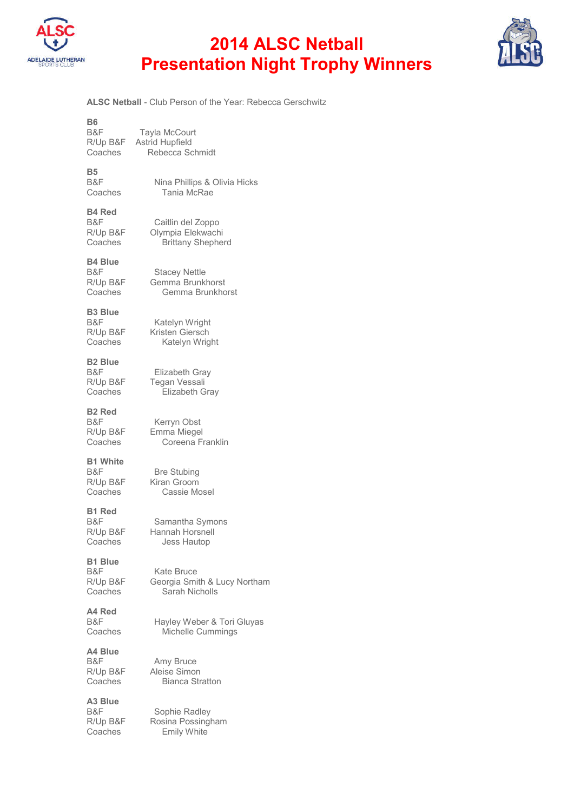

## **2014 ALSC Netball Presentation Night Trophy Winners**



**ALSC Netball** - Club Person of the Year: Rebecca Gerschwitz

| Β6<br>B&F<br>R/Up B&F<br>Coaches              | Tayla McCourt<br><b>Astrid Hupfield</b><br>Rebecca Schmidt         |
|-----------------------------------------------|--------------------------------------------------------------------|
| <b>B5</b><br>B&F<br>Coaches                   | Nina Phillips & Olivia Hicks<br>Tania McRae                        |
| B4 Red<br>B&F<br>R/Up B&F<br>Coaches          | Caitlin del Zoppo<br>Olympia Elekwachi<br><b>Brittany Shepherd</b> |
| B4 Blue<br>B&F<br>R/Up B&F<br>Coaches         | <b>Stacey Nettle</b><br>Gemma Brunkhorst<br>Gemma Brunkhorst       |
| <b>B3 Blue</b><br>B&F<br>R/Up B&F<br>Coaches  | Katelyn Wright<br>Kristen Giersch<br>Katelyn Wright                |
| B2 Blue<br>B&F<br>R/Up B&F<br>Coaches         | Elizabeth Gray<br>Tegan Vessali<br>Elizabeth Gray                  |
| B2 Red<br>B&F<br>R/Up B&F<br>Coaches          | Kerryn Obst<br>Emma Miegel<br>Coreena Franklin                     |
| <b>B1 White</b><br>B&F<br>R/Up B&F<br>Coaches | <b>Bre Stubing</b><br>Kiran Groom<br>Cassie Mosel                  |
| <b>B1 Red</b><br>B&F<br>R/Up B&F<br>Coaches   | Samantha Symons<br>Hannah Horsnell<br><b>Jess Hautop</b>           |
| <b>B1 Blue</b><br>B&F<br>R/Up B&F<br>Coaches  | Kate Bruce<br>Georgia Smith & Lucy Northam<br>Sarah Nicholls       |
| A4 Red<br>B&F<br>Coaches                      | Hayley Weber & Tori Gluyas<br>Michelle Cummings                    |
| A4 Blue<br>B&F<br>R/Up B&F<br>Coaches         | Amy Bruce<br>Aleise Simon<br><b>Bianca Stratton</b>                |
| A3 Blue<br>B&F<br>R/Up B&F<br>Coaches         | Sophie Radley<br>Rosina Possingham<br><b>Emily White</b>           |